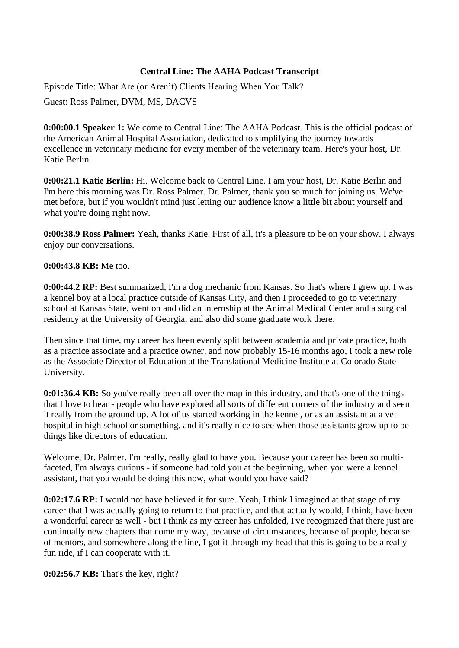### **Central Line: The AAHA Podcast Transcript**

Episode Title: What Are (or Aren't) Clients Hearing When You Talk?

Guest: Ross Palmer, DVM, MS, DACVS

**0:00:00.1 Speaker 1:** Welcome to Central Line: The AAHA Podcast. This is the official podcast of the American Animal Hospital Association, dedicated to simplifying the journey towards excellence in veterinary medicine for every member of the veterinary team. Here's your host, Dr. Katie Berlin.

**0:00:21.1 Katie Berlin:** Hi. Welcome back to Central Line. I am your host, Dr. Katie Berlin and I'm here this morning was Dr. Ross Palmer. Dr. Palmer, thank you so much for joining us. We've met before, but if you wouldn't mind just letting our audience know a little bit about yourself and what you're doing right now.

**0:00:38.9 Ross Palmer:** Yeah, thanks Katie. First of all, it's a pleasure to be on your show. I always enjoy our conversations.

#### **0:00:43.8 KB:** Me too.

**0:00:44.2 RP:** Best summarized, I'm a dog mechanic from Kansas. So that's where I grew up. I was a kennel boy at a local practice outside of Kansas City, and then I proceeded to go to veterinary school at Kansas State, went on and did an internship at the Animal Medical Center and a surgical residency at the University of Georgia, and also did some graduate work there.

Then since that time, my career has been evenly split between academia and private practice, both as a practice associate and a practice owner, and now probably 15-16 months ago, I took a new role as the Associate Director of Education at the Translational Medicine Institute at Colorado State University.

**0:01:36.4 KB:** So you've really been all over the map in this industry, and that's one of the things that I love to hear - people who have explored all sorts of different corners of the industry and seen it really from the ground up. A lot of us started working in the kennel, or as an assistant at a vet hospital in high school or something, and it's really nice to see when those assistants grow up to be things like directors of education.

Welcome, Dr. Palmer. I'm really, really glad to have you. Because your career has been so multifaceted, I'm always curious - if someone had told you at the beginning, when you were a kennel assistant, that you would be doing this now, what would you have said?

**0:02:17.6 RP:** I would not have believed it for sure. Yeah, I think I imagined at that stage of my career that I was actually going to return to that practice, and that actually would, I think, have been a wonderful career as well - but I think as my career has unfolded, I've recognized that there just are continually new chapters that come my way, because of circumstances, because of people, because of mentors, and somewhere along the line, I got it through my head that this is going to be a really fun ride, if I can cooperate with it.

**0:02:56.7 KB:** That's the key, right?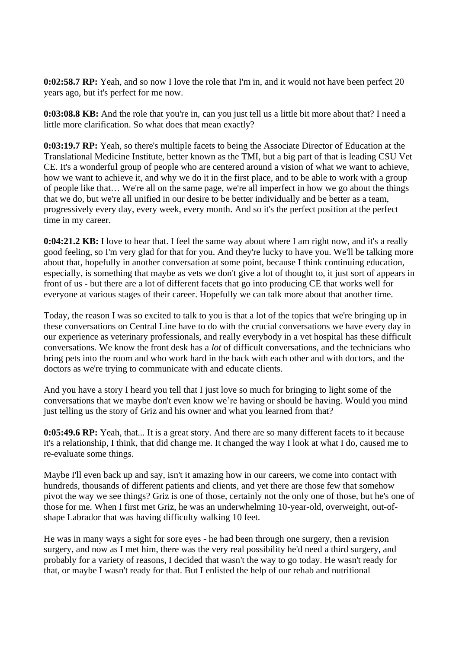**0:02:58.7 RP:** Yeah, and so now I love the role that I'm in, and it would not have been perfect 20 years ago, but it's perfect for me now.

**0:03:08.8 KB:** And the role that you're in, can you just tell us a little bit more about that? I need a little more clarification. So what does that mean exactly?

**0:03:19.7 RP:** Yeah, so there's multiple facets to being the Associate Director of Education at the Translational Medicine Institute, better known as the TMI, but a big part of that is leading CSU Vet CE. It's a wonderful group of people who are centered around a vision of what we want to achieve, how we want to achieve it, and why we do it in the first place, and to be able to work with a group of people like that… We're all on the same page, we're all imperfect in how we go about the things that we do, but we're all unified in our desire to be better individually and be better as a team, progressively every day, every week, every month. And so it's the perfect position at the perfect time in my career.

**0:04:21.2 KB:** I love to hear that. I feel the same way about where I am right now, and it's a really good feeling, so I'm very glad for that for you. And they're lucky to have you. We'll be talking more about that, hopefully in another conversation at some point, because I think continuing education, especially, is something that maybe as vets we don't give a lot of thought to, it just sort of appears in front of us - but there are a lot of different facets that go into producing CE that works well for everyone at various stages of their career. Hopefully we can talk more about that another time.

Today, the reason I was so excited to talk to you is that a lot of the topics that we're bringing up in these conversations on Central Line have to do with the crucial conversations we have every day in our experience as veterinary professionals, and really everybody in a vet hospital has these difficult conversations. We know the front desk has a *lot* of difficult conversations, and the technicians who bring pets into the room and who work hard in the back with each other and with doctors, and the doctors as we're trying to communicate with and educate clients.

And you have a story I heard you tell that I just love so much for bringing to light some of the conversations that we maybe don't even know we're having or should be having. Would you mind just telling us the story of Griz and his owner and what you learned from that?

**0:05:49.6 RP:** Yeah, that... It is a great story. And there are so many different facets to it because it's a relationship, I think, that did change me. It changed the way I look at what I do, caused me to re-evaluate some things.

Maybe I'll even back up and say, isn't it amazing how in our careers, we come into contact with hundreds, thousands of different patients and clients, and yet there are those few that somehow pivot the way we see things? Griz is one of those, certainly not the only one of those, but he's one of those for me. When I first met Griz, he was an underwhelming 10-year-old, overweight, out-ofshape Labrador that was having difficulty walking 10 feet.

He was in many ways a sight for sore eyes - he had been through one surgery, then a revision surgery, and now as I met him, there was the very real possibility he'd need a third surgery, and probably for a variety of reasons, I decided that wasn't the way to go today. He wasn't ready for that, or maybe I wasn't ready for that. But I enlisted the help of our rehab and nutritional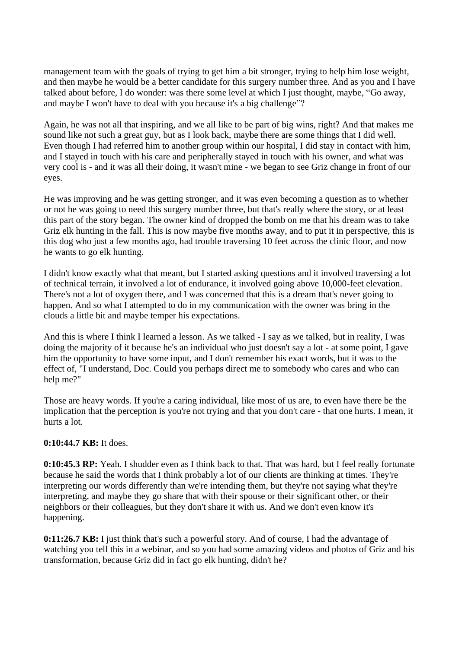management team with the goals of trying to get him a bit stronger, trying to help him lose weight, and then maybe he would be a better candidate for this surgery number three. And as you and I have talked about before, I do wonder: was there some level at which I just thought, maybe, "Go away, and maybe I won't have to deal with you because it's a big challenge"?

Again, he was not all that inspiring, and we all like to be part of big wins, right? And that makes me sound like not such a great guy, but as I look back, maybe there are some things that I did well. Even though I had referred him to another group within our hospital, I did stay in contact with him, and I stayed in touch with his care and peripherally stayed in touch with his owner, and what was very cool is - and it was all their doing, it wasn't mine - we began to see Griz change in front of our eyes.

He was improving and he was getting stronger, and it was even becoming a question as to whether or not he was going to need this surgery number three, but that's really where the story, or at least this part of the story began. The owner kind of dropped the bomb on me that his dream was to take Griz elk hunting in the fall. This is now maybe five months away, and to put it in perspective, this is this dog who just a few months ago, had trouble traversing 10 feet across the clinic floor, and now he wants to go elk hunting.

I didn't know exactly what that meant, but I started asking questions and it involved traversing a lot of technical terrain, it involved a lot of endurance, it involved going above 10,000-feet elevation. There's not a lot of oxygen there, and I was concerned that this is a dream that's never going to happen. And so what I attempted to do in my communication with the owner was bring in the clouds a little bit and maybe temper his expectations.

And this is where I think I learned a lesson. As we talked - I say as we talked, but in reality, I was doing the majority of it because he's an individual who just doesn't say a lot - at some point, I gave him the opportunity to have some input, and I don't remember his exact words, but it was to the effect of, "I understand, Doc. Could you perhaps direct me to somebody who cares and who can help me?"

Those are heavy words. If you're a caring individual, like most of us are, to even have there be the implication that the perception is you're not trying and that you don't care - that one hurts. I mean, it hurts a lot.

# **0:10:44.7 KB:** It does.

**0:10:45.3 RP:** Yeah. I shudder even as I think back to that. That was hard, but I feel really fortunate because he said the words that I think probably a lot of our clients are thinking at times. They're interpreting our words differently than we're intending them, but they're not saying what they're interpreting, and maybe they go share that with their spouse or their significant other, or their neighbors or their colleagues, but they don't share it with us. And we don't even know it's happening.

**0:11:26.7 KB:** I just think that's such a powerful story. And of course, I had the advantage of watching you tell this in a webinar, and so you had some amazing videos and photos of Griz and his transformation, because Griz did in fact go elk hunting, didn't he?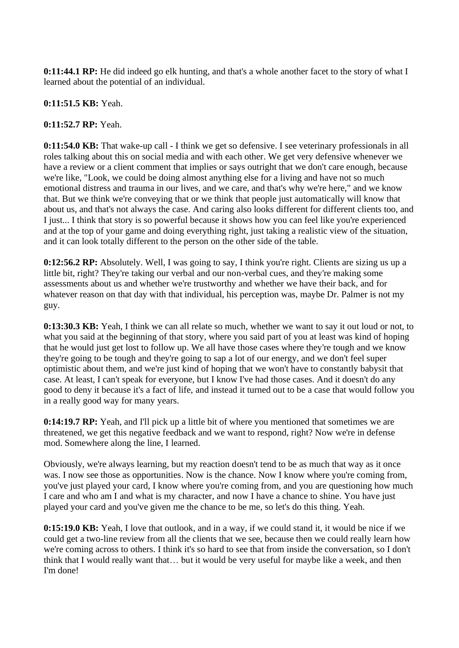**0:11:44.1 RP:** He did indeed go elk hunting, and that's a whole another facet to the story of what I learned about the potential of an individual.

# **0:11:51.5 KB:** Yeah.

### **0:11:52.7 RP:** Yeah.

**0:11:54.0 KB:** That wake-up call - I think we get so defensive. I see veterinary professionals in all roles talking about this on social media and with each other. We get very defensive whenever we have a review or a client comment that implies or says outright that we don't care enough, because we're like, "Look, we could be doing almost anything else for a living and have not so much emotional distress and trauma in our lives, and we care, and that's why we're here," and we know that. But we think we're conveying that or we think that people just automatically will know that about us, and that's not always the case. And caring also looks different for different clients too, and I just... I think that story is so powerful because it shows how you can feel like you're experienced and at the top of your game and doing everything right, just taking a realistic view of the situation, and it can look totally different to the person on the other side of the table.

**0:12:56.2 RP:** Absolutely. Well, I was going to say, I think you're right. Clients are sizing us up a little bit, right? They're taking our verbal and our non-verbal cues, and they're making some assessments about us and whether we're trustworthy and whether we have their back, and for whatever reason on that day with that individual, his perception was, maybe Dr. Palmer is not my guy.

**0:13:30.3 KB:** Yeah, I think we can all relate so much, whether we want to say it out loud or not, to what you said at the beginning of that story, where you said part of you at least was kind of hoping that he would just get lost to follow up. We all have those cases where they're tough and we know they're going to be tough and they're going to sap a lot of our energy, and we don't feel super optimistic about them, and we're just kind of hoping that we won't have to constantly babysit that case. At least, I can't speak for everyone, but I know I've had those cases. And it doesn't do any good to deny it because it's a fact of life, and instead it turned out to be a case that would follow you in a really good way for many years.

**0:14:19.7 RP:** Yeah, and I'll pick up a little bit of where you mentioned that sometimes we are threatened, we get this negative feedback and we want to respond, right? Now we're in defense mod. Somewhere along the line, I learned.

Obviously, we're always learning, but my reaction doesn't tend to be as much that way as it once was. I now see those as opportunities. Now is the chance. Now I know where you're coming from, you've just played your card, I know where you're coming from, and you are questioning how much I care and who am I and what is my character, and now I have a chance to shine. You have just played your card and you've given me the chance to be me, so let's do this thing. Yeah.

**0:15:19.0 KB:** Yeah, I love that outlook, and in a way, if we could stand it, it would be nice if we could get a two-line review from all the clients that we see, because then we could really learn how we're coming across to others. I think it's so hard to see that from inside the conversation, so I don't think that I would really want that… but it would be very useful for maybe like a week, and then I'm done!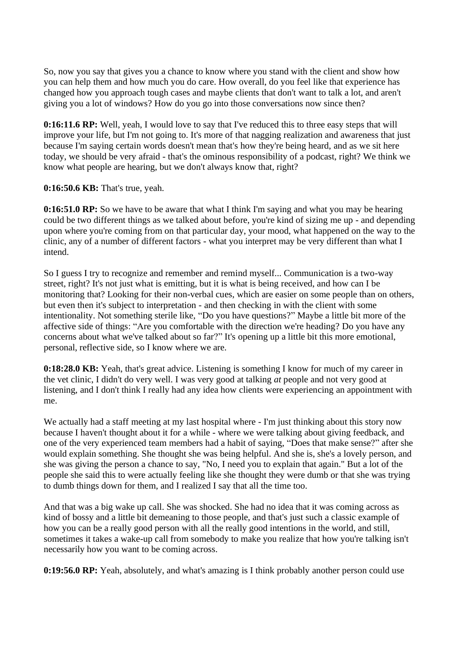So, now you say that gives you a chance to know where you stand with the client and show how you can help them and how much you do care. How overall, do you feel like that experience has changed how you approach tough cases and maybe clients that don't want to talk a lot, and aren't giving you a lot of windows? How do you go into those conversations now since then?

**0:16:11.6 RP:** Well, yeah, I would love to say that I've reduced this to three easy steps that will improve your life, but I'm not going to. It's more of that nagging realization and awareness that just because I'm saying certain words doesn't mean that's how they're being heard, and as we sit here today, we should be very afraid - that's the ominous responsibility of a podcast, right? We think we know what people are hearing, but we don't always know that, right?

**0:16:50.6 KB:** That's true, yeah.

**0:16:51.0 RP:** So we have to be aware that what I think I'm saying and what you may be hearing could be two different things as we talked about before, you're kind of sizing me up - and depending upon where you're coming from on that particular day, your mood, what happened on the way to the clinic, any of a number of different factors - what you interpret may be very different than what I intend.

So I guess I try to recognize and remember and remind myself... Communication is a two-way street, right? It's not just what is emitting, but it is what is being received, and how can I be monitoring that? Looking for their non-verbal cues, which are easier on some people than on others, but even then it's subject to interpretation - and then checking in with the client with some intentionality. Not something sterile like, "Do you have questions?" Maybe a little bit more of the affective side of things: "Are you comfortable with the direction we're heading? Do you have any concerns about what we've talked about so far?" It's opening up a little bit this more emotional, personal, reflective side, so I know where we are.

**0:18:28.0 KB:** Yeah, that's great advice. Listening is something I know for much of my career in the vet clinic, I didn't do very well. I was very good at talking *at* people and not very good at listening, and I don't think I really had any idea how clients were experiencing an appointment with me.

We actually had a staff meeting at my last hospital where - I'm just thinking about this story now because I haven't thought about it for a while - where we were talking about giving feedback, and one of the very experienced team members had a habit of saying, "Does that make sense?" after she would explain something. She thought she was being helpful. And she is, she's a lovely person, and she was giving the person a chance to say, "No, I need you to explain that again." But a lot of the people she said this to were actually feeling like she thought they were dumb or that she was trying to dumb things down for them, and I realized I say that all the time too.

And that was a big wake up call. She was shocked. She had no idea that it was coming across as kind of bossy and a little bit demeaning to those people, and that's just such a classic example of how you can be a really good person with all the really good intentions in the world, and still, sometimes it takes a wake-up call from somebody to make you realize that how you're talking isn't necessarily how you want to be coming across.

**0:19:56.0 RP:** Yeah, absolutely, and what's amazing is I think probably another person could use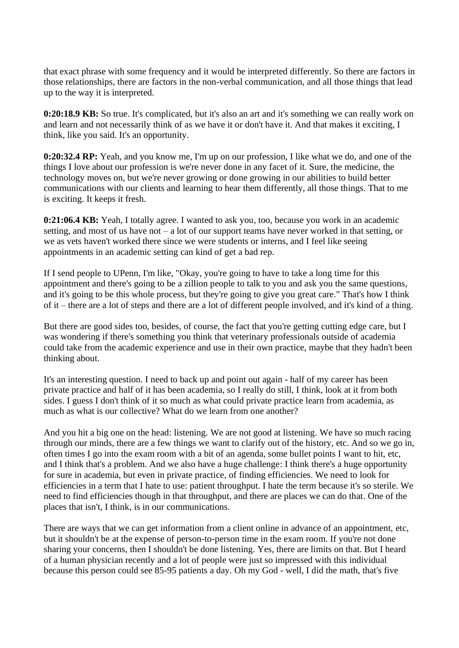that exact phrase with some frequency and it would be interpreted differently. So there are factors in those relationships, there are factors in the non-verbal communication, and all those things that lead up to the way it is interpreted.

**0:20:18.9 KB:** So true. It's complicated, but it's also an art and it's something we can really work on and learn and not necessarily think of as we have it or don't have it. And that makes it exciting, I think, like you said. It's an opportunity.

**0:20:32.4 RP:** Yeah, and you know me, I'm up on our profession, I like what we do, and one of the things I love about our profession is we're never done in any facet of it. Sure, the medicine, the technology moves on, but we're never growing or done growing in our abilities to build better communications with our clients and learning to hear them differently, all those things. That to me is exciting. It keeps it fresh.

**0:21:06.4 KB:** Yeah, I totally agree. I wanted to ask you, too, because you work in an academic setting, and most of us have not – a lot of our support teams have never worked in that setting, or we as vets haven't worked there since we were students or interns, and I feel like seeing appointments in an academic setting can kind of get a bad rep.

If I send people to UPenn, I'm like, "Okay, you're going to have to take a long time for this appointment and there's going to be a zillion people to talk to you and ask you the same questions, and it's going to be this whole process, but they're going to give you great care." That's how I think of it – there are a lot of steps and there are a lot of different people involved, and it's kind of a thing.

But there are good sides too, besides, of course, the fact that you're getting cutting edge care, but I was wondering if there's something you think that veterinary professionals outside of academia could take from the academic experience and use in their own practice, maybe that they hadn't been thinking about.

It's an interesting question. I need to back up and point out again - half of my career has been private practice and half of it has been academia, so I really do still, I think, look at it from both sides. I guess I don't think of it so much as what could private practice learn from academia, as much as what is our collective? What do we learn from one another?

And you hit a big one on the head: listening. We are not good at listening. We have so much racing through our minds, there are a few things we want to clarify out of the history, etc. And so we go in, often times I go into the exam room with a bit of an agenda, some bullet points I want to hit, etc, and I think that's a problem. And we also have a huge challenge: I think there's a huge opportunity for sure in academia, but even in private practice, of finding efficiencies. We need to look for efficiencies in a term that I hate to use: patient throughput. I hate the term because it's so sterile. We need to find efficiencies though in that throughput, and there are places we can do that. One of the places that isn't, I think, is in our communications.

There are ways that we can get information from a client online in advance of an appointment, etc, but it shouldn't be at the expense of person-to-person time in the exam room. If you're not done sharing your concerns, then I shouldn't be done listening. Yes, there are limits on that. But I heard of a human physician recently and a lot of people were just so impressed with this individual because this person could see 85-95 patients a day. Oh my God - well, I did the math, that's five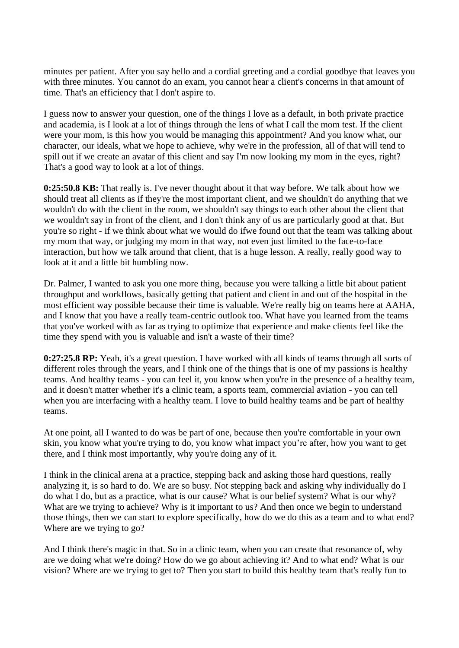minutes per patient. After you say hello and a cordial greeting and a cordial goodbye that leaves you with three minutes. You cannot do an exam, you cannot hear a client's concerns in that amount of time. That's an efficiency that I don't aspire to.

I guess now to answer your question, one of the things I love as a default, in both private practice and academia, is I look at a lot of things through the lens of what I call the mom test. If the client were your mom, is this how you would be managing this appointment? And you know what, our character, our ideals, what we hope to achieve, why we're in the profession, all of that will tend to spill out if we create an avatar of this client and say I'm now looking my mom in the eyes, right? That's a good way to look at a lot of things.

**0:25:50.8 KB:** That really is. I've never thought about it that way before. We talk about how we should treat all clients as if they're the most important client, and we shouldn't do anything that we wouldn't do with the client in the room, we shouldn't say things to each other about the client that we wouldn't say in front of the client, and I don't think any of us are particularly good at that. But you're so right - if we think about what we would do ifwe found out that the team was talking about my mom that way, or judging my mom in that way, not even just limited to the face-to-face interaction, but how we talk around that client, that is a huge lesson. A really, really good way to look at it and a little bit humbling now.

Dr. Palmer, I wanted to ask you one more thing, because you were talking a little bit about patient throughput and workflows, basically getting that patient and client in and out of the hospital in the most efficient way possible because their time is valuable. We're really big on teams here at AAHA, and I know that you have a really team-centric outlook too. What have you learned from the teams that you've worked with as far as trying to optimize that experience and make clients feel like the time they spend with you is valuable and isn't a waste of their time?

**0:27:25.8 RP:** Yeah, it's a great question. I have worked with all kinds of teams through all sorts of different roles through the years, and I think one of the things that is one of my passions is healthy teams. And healthy teams - you can feel it, you know when you're in the presence of a healthy team, and it doesn't matter whether it's a clinic team, a sports team, commercial aviation - you can tell when you are interfacing with a healthy team. I love to build healthy teams and be part of healthy teams.

At one point, all I wanted to do was be part of one, because then you're comfortable in your own skin, you know what you're trying to do, you know what impact you're after, how you want to get there, and I think most importantly, why you're doing any of it.

I think in the clinical arena at a practice, stepping back and asking those hard questions, really analyzing it, is so hard to do. We are so busy. Not stepping back and asking why individually do I do what I do, but as a practice, what is our cause? What is our belief system? What is our why? What are we trying to achieve? Why is it important to us? And then once we begin to understand those things, then we can start to explore specifically, how do we do this as a team and to what end? Where are we trying to go?

And I think there's magic in that. So in a clinic team, when you can create that resonance of, why are we doing what we're doing? How do we go about achieving it? And to what end? What is our vision? Where are we trying to get to? Then you start to build this healthy team that's really fun to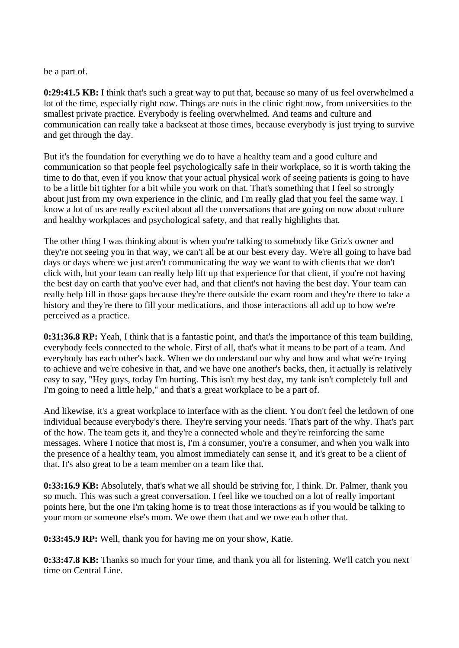be a part of.

**0:29:41.5 KB:** I think that's such a great way to put that, because so many of us feel overwhelmed a lot of the time, especially right now. Things are nuts in the clinic right now, from universities to the smallest private practice. Everybody is feeling overwhelmed. And teams and culture and communication can really take a backseat at those times, because everybody is just trying to survive and get through the day.

But it's the foundation for everything we do to have a healthy team and a good culture and communication so that people feel psychologically safe in their workplace, so it is worth taking the time to do that, even if you know that your actual physical work of seeing patients is going to have to be a little bit tighter for a bit while you work on that. That's something that I feel so strongly about just from my own experience in the clinic, and I'm really glad that you feel the same way. I know a lot of us are really excited about all the conversations that are going on now about culture and healthy workplaces and psychological safety, and that really highlights that.

The other thing I was thinking about is when you're talking to somebody like Griz's owner and they're not seeing you in that way, we can't all be at our best every day. We're all going to have bad days or days where we just aren't communicating the way we want to with clients that we don't click with, but your team can really help lift up that experience for that client, if you're not having the best day on earth that you've ever had, and that client's not having the best day. Your team can really help fill in those gaps because they're there outside the exam room and they're there to take a history and they're there to fill your medications, and those interactions all add up to how we're perceived as a practice.

**0:31:36.8 RP:** Yeah, I think that is a fantastic point, and that's the importance of this team building, everybody feels connected to the whole. First of all, that's what it means to be part of a team. And everybody has each other's back. When we do understand our why and how and what we're trying to achieve and we're cohesive in that, and we have one another's backs, then, it actually is relatively easy to say, "Hey guys, today I'm hurting. This isn't my best day, my tank isn't completely full and I'm going to need a little help," and that's a great workplace to be a part of.

And likewise, it's a great workplace to interface with as the client. You don't feel the letdown of one individual because everybody's there. They're serving your needs. That's part of the why. That's part of the how. The team gets it, and they're a connected whole and they're reinforcing the same messages. Where I notice that most is, I'm a consumer, you're a consumer, and when you walk into the presence of a healthy team, you almost immediately can sense it, and it's great to be a client of that. It's also great to be a team member on a team like that.

**0:33:16.9 KB:** Absolutely, that's what we all should be striving for, I think. Dr. Palmer, thank you so much. This was such a great conversation. I feel like we touched on a lot of really important points here, but the one I'm taking home is to treat those interactions as if you would be talking to your mom or someone else's mom. We owe them that and we owe each other that.

**0:33:45.9 RP:** Well, thank you for having me on your show, Katie.

**0:33:47.8 KB:** Thanks so much for your time, and thank you all for listening. We'll catch you next time on Central Line.